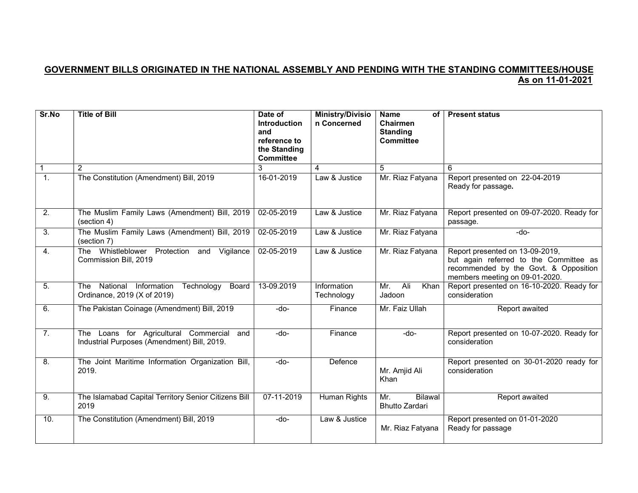## GOVERNMENT BILLS ORIGINATED IN THE NATIONAL ASSEMBLY AND PENDING WITH THE STANDING COMMITTEES/HOUSE As on 11-01-2021

| Sr.No            | <b>Title of Bill</b>                                                                        | Date of<br><b>Introduction</b><br>and            | <b>Ministry/Divisio</b><br>n Concerned | <b>Name</b><br>of <sub>1</sub><br>Chairmen<br><b>Standing</b> | <b>Present status</b>                                                                                                                                |
|------------------|---------------------------------------------------------------------------------------------|--------------------------------------------------|----------------------------------------|---------------------------------------------------------------|------------------------------------------------------------------------------------------------------------------------------------------------------|
|                  |                                                                                             | reference to<br>the Standing<br><b>Committee</b> |                                        | <b>Committee</b>                                              |                                                                                                                                                      |
|                  | $\overline{2}$                                                                              | 3                                                | 4                                      | 5                                                             | 6                                                                                                                                                    |
| $\overline{1}$ . | The Constitution (Amendment) Bill, 2019                                                     | 16-01-2019                                       | Law & Justice                          | Mr. Riaz Fatyana                                              | Report presented on 22-04-2019<br>Ready for passage.                                                                                                 |
| 2.               | The Muslim Family Laws (Amendment) Bill, 2019<br>(section 4)                                | 02-05-2019                                       | Law & Justice                          | Mr. Riaz Fatyana                                              | Report presented on 09-07-2020. Ready for<br>passage.                                                                                                |
| 3.               | The Muslim Family Laws (Amendment) Bill, 2019<br>(section 7)                                | 02-05-2019                                       | Law & Justice                          | Mr. Riaz Fatyana                                              | -do-                                                                                                                                                 |
| $\overline{4}$ . | The Whistleblower Protection and Vigilance<br>Commission Bill, 2019                         | 02-05-2019                                       | Law & Justice                          | Mr. Riaz Fatyana                                              | Report presented on 13-09-2019,<br>but again referred to the Committee as<br>recommended by the Govt. & Opposition<br>members meeting on 09-01-2020. |
| 5.               | National Information<br>Technology<br>Board<br>The<br>Ordinance, 2019 (X of 2019)           | 13-09.2019                                       | Information<br>Technology              | Ali<br>Mr.<br>Khan<br>Jadoon                                  | Report presented on 16-10-2020. Ready for<br>consideration                                                                                           |
| 6.               | The Pakistan Coinage (Amendment) Bill, 2019                                                 | -do-                                             | Finance                                | Mr. Faiz Ullah                                                | Report awaited                                                                                                                                       |
| 7.               | The Loans for Agricultural Commercial<br>and<br>Industrial Purposes (Amendment) Bill, 2019. | -do-                                             | Finance                                | -do-                                                          | Report presented on 10-07-2020. Ready for<br>consideration                                                                                           |
| 8.               | The Joint Maritime Information Organization Bill,<br>2019.                                  | $-do-$                                           | Defence                                | Mr. Amjid Ali<br>Khan                                         | Report presented on 30-01-2020 ready for<br>consideration                                                                                            |
| 9.               | The Islamabad Capital Territory Senior Citizens Bill<br>2019                                | 07-11-2019                                       | Human Rights                           | <b>Bilawal</b><br>Mr.<br><b>Bhutto Zardari</b>                | Report awaited                                                                                                                                       |
| 10.              | The Constitution (Amendment) Bill, 2019                                                     | -do-                                             | Law & Justice                          | Mr. Riaz Fatyana                                              | Report presented on 01-01-2020<br>Ready for passage                                                                                                  |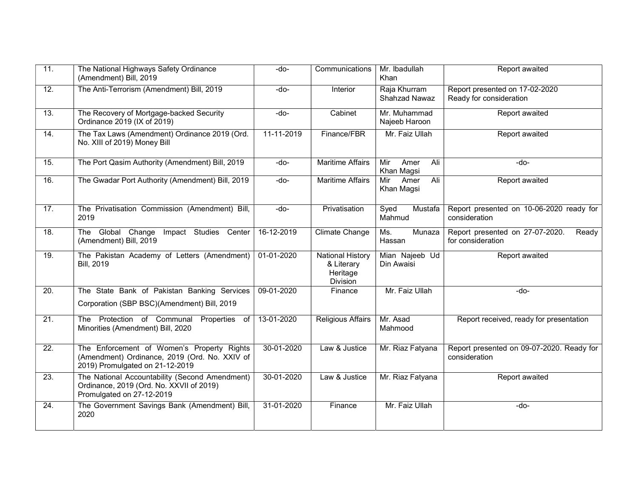| 11.               | The National Highways Safety Ordinance<br>(Amendment) Bill, 2019                                                               | -do-       | Communications                                                | Mr. Ibadullah<br>Khan            | Report awaited                                                |
|-------------------|--------------------------------------------------------------------------------------------------------------------------------|------------|---------------------------------------------------------------|----------------------------------|---------------------------------------------------------------|
| $\overline{12}$ . | The Anti-Terrorism (Amendment) Bill, 2019                                                                                      | -do-       | Interior                                                      | Raja Khurram<br>Shahzad Nawaz    | Report presented on 17-02-2020<br>Ready for consideration     |
| 13.               | The Recovery of Mortgage-backed Security<br>Ordinance 2019 (IX of 2019)                                                        | -do-       | Cabinet                                                       | Mr. Muhammad<br>Najeeb Haroon    | <b>Report awaited</b>                                         |
| 14.               | The Tax Laws (Amendment) Ordinance 2019 (Ord.<br>No. XIII of 2019) Money Bill                                                  | 11-11-2019 | Finance/FBR                                                   | Mr. Faiz Ullah                   | Report awaited                                                |
| 15.               | The Port Qasim Authority (Amendment) Bill, 2019                                                                                | -do-       | <b>Maritime Affairs</b>                                       | Mir<br>Amer<br>Ali<br>Khan Magsi | -do-                                                          |
| 16.               | The Gwadar Port Authority (Amendment) Bill, 2019                                                                               | -do-       | <b>Maritime Affairs</b>                                       | Amer<br>Ali<br>Mir<br>Khan Magsi | <b>Report awaited</b>                                         |
| 17.               | The Privatisation Commission (Amendment) Bill,<br>2019                                                                         | $-do-$     | Privatisation                                                 | Mustafa<br>Syed<br>Mahmud        | Report presented on 10-06-2020 ready for<br>consideration     |
| 18.               | The Global Change Impact Studies Center<br>(Amendment) Bill, 2019                                                              | 16-12-2019 | Climate Change                                                | Munaza<br>Ms.<br>Hassan          | Report presented on 27-07-2020.<br>Ready<br>for consideration |
| 19.               | The Pakistan Academy of Letters (Amendment)<br><b>Bill, 2019</b>                                                               | 01-01-2020 | <b>National History</b><br>& Literary<br>Heritage<br>Division | Mian Najeeb Ud<br>Din Awaisi     | Report awaited                                                |
| 20.               | The State Bank of Pakistan Banking Services                                                                                    | 09-01-2020 | Finance                                                       | Mr. Faiz Ullah                   | -do-                                                          |
|                   | Corporation (SBP BSC)(Amendment) Bill, 2019                                                                                    |            |                                                               |                                  |                                                               |
| 21.               | The Protection of Communal Properties of<br>Minorities (Amendment) Bill, 2020                                                  | 13-01-2020 | Religious Affairs                                             | Mr. Asad<br>Mahmood              | Report received, ready for presentation                       |
| 22.               | The Enforcement of Women's Property Rights<br>(Amendment) Ordinance, 2019 (Ord. No. XXIV of<br>2019) Promulgated on 21-12-2019 | 30-01-2020 | Law & Justice                                                 | Mr. Riaz Fatyana                 | Report presented on 09-07-2020. Ready for<br>consideration    |
| 23.               | The National Accountability (Second Amendment)<br>Ordinance, 2019 (Ord. No. XXVII of 2019)<br>Promulgated on 27-12-2019        | 30-01-2020 | Law & Justice                                                 | Mr. Riaz Fatyana                 | Report awaited                                                |
| 24.               | The Government Savings Bank (Amendment) Bill,<br>2020                                                                          | 31-01-2020 | Finance                                                       | Mr. Faiz Ullah                   | -do-                                                          |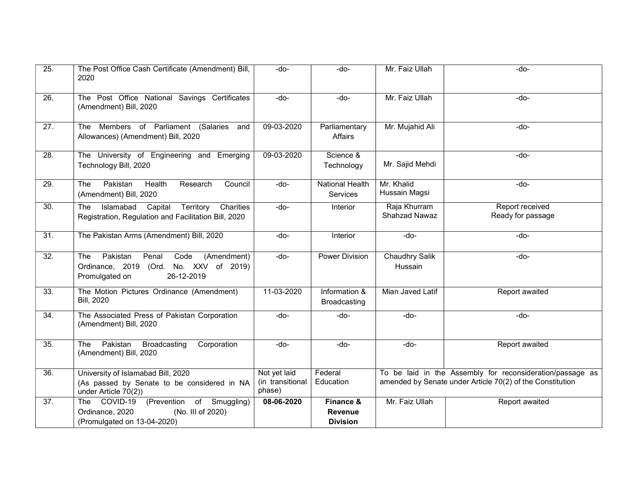| 25.               | The Post Office Cash Certificate (Amendment) Bill,<br>2020                                                                       | -do-                                       | -do-                                    | Mr. Faiz Ullah                                                                                                         | -do-                                 |
|-------------------|----------------------------------------------------------------------------------------------------------------------------------|--------------------------------------------|-----------------------------------------|------------------------------------------------------------------------------------------------------------------------|--------------------------------------|
| 26.               | The Post Office National Savings Certificates<br>(Amendment) Bill, 2020                                                          | $-do-$                                     | $-do-$                                  | Mr. Faiz Ullah                                                                                                         | -do-                                 |
| 27.               | The Members of Parliament (Salaries<br>and<br>Allowances) (Amendment) Bill, 2020                                                 | 09-03-2020                                 | Parliamentary<br>Affairs                | Mr. Mujahid Ali                                                                                                        | $-do-$                               |
| 28.               | The University of Engineering and Emerging<br>Technology Bill, 2020                                                              | 09-03-2020                                 | Science &<br>Technology                 | Mr. Sajid Mehdi                                                                                                        | -do-                                 |
| $\overline{29}$ . | Pakistan<br>The<br>Health<br>Research<br>Council<br>(Amendment) Bill, 2020                                                       | -do-                                       | <b>National Health</b><br>Services      | Mr. Khalid<br>Hussain Magsi                                                                                            | -do-                                 |
| 30.               | Territory<br>Charities<br>Islamabad<br>Capital<br>The:<br>Registration, Regulation and Facilitation Bill, 2020                   | -do-                                       | Interior                                | Raja Khurram<br>Shahzad Nawaz                                                                                          | Report received<br>Ready for passage |
| $\overline{31}$   | The Pakistan Arms (Amendment) Bill, 2020                                                                                         | -do-                                       | Interior                                | $-do-$                                                                                                                 | -do-                                 |
| 32.               | Pakistan<br>Penal<br>Code<br>(Amendment)<br><b>The</b><br>Ordinance, 2019 (Ord. No. XXV of 2019)<br>Promulgated on<br>26-12-2019 | -do-                                       | <b>Power Division</b>                   | <b>Chaudhry Salik</b><br>Hussain                                                                                       | -do-                                 |
| 33.               | The Motion Pictures Ordinance (Amendment)<br><b>Bill, 2020</b>                                                                   | 11-03-2020                                 | Information &<br><b>Broadcasting</b>    | Mian Javed Latif                                                                                                       | Report awaited                       |
| 34.               | The Associated Press of Pakistan Corporation<br>(Amendment) Bill, 2020                                                           | -do-                                       | -do-                                    | -do-                                                                                                                   | -do-                                 |
| 35.               | Pakistan<br><b>Broadcasting</b><br>Corporation<br>The<br>(Amendment) Bill, 2020                                                  | -do-                                       | -do-                                    | -do-                                                                                                                   | Report awaited                       |
| 36.               | University of Islamabad Bill, 2020<br>(As passed by Senate to be considered in NA<br>under Article 70(2))                        | Not yet laid<br>(in transitional<br>phase) | Federal<br>Education                    | To be laid in the Assembly for reconsideration/passage as<br>amended by Senate under Article 70(2) of the Constitution |                                      |
| 37.               | The COVID-19<br>(Prevention of Smuggling)<br>Ordinance, 2020<br>(No. III of 2020)<br>(Promulgated on 13-04-2020)                 | 08-06-2020                                 | Finance &<br>Revenue<br><b>Division</b> | Mr. Faiz Ullah                                                                                                         | Report awaited                       |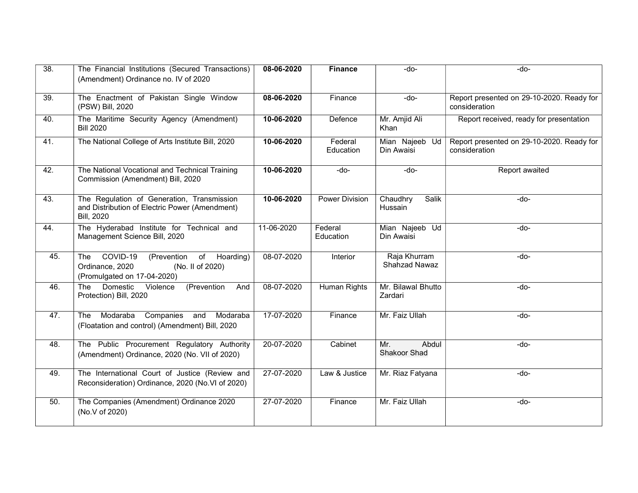| 38.               | The Financial Institutions (Secured Transactions)<br>(Amendment) Ordinance no. IV of 2020                         | 08-06-2020 | <b>Finance</b>        | $-do-$                               | $-do-$                                                     |
|-------------------|-------------------------------------------------------------------------------------------------------------------|------------|-----------------------|--------------------------------------|------------------------------------------------------------|
| $\overline{39}$ . | The Enactment of Pakistan Single Window<br>(PSW) Bill, 2020                                                       | 08-06-2020 | Finance               | $-do-$                               | Report presented on 29-10-2020. Ready for<br>consideration |
| 40.               | The Maritime Security Agency (Amendment)<br><b>Bill 2020</b>                                                      | 10-06-2020 | Defence               | Mr. Amjid Ali<br>Khan                | Report received, ready for presentation                    |
| 41.               | The National College of Arts Institute Bill, 2020                                                                 | 10-06-2020 | Federal<br>Education  | Mian Najeeb Ud<br>Din Awaisi         | Report presented on 29-10-2020. Ready for<br>consideration |
| 42.               | The National Vocational and Technical Training<br>Commission (Amendment) Bill, 2020                               | 10-06-2020 | -do-                  | $-do-$                               | Report awaited                                             |
| 43.               | The Regulation of Generation, Transmission<br>and Distribution of Electric Power (Amendment)<br><b>Bill, 2020</b> | 10-06-2020 | <b>Power Division</b> | Chaudhry<br>Salik<br>Hussain         | -do-                                                       |
| 44.               | The Hyderabad Institute for Technical and<br>Management Science Bill, 2020                                        | 11-06-2020 | Federal<br>Education  | Mian Najeeb Ud<br>Din Awaisi         | -do-                                                       |
| 45.               | COVID-19<br>(Prevention of Hoarding)<br>The<br>Ordinance, 2020<br>(No. II of 2020)<br>(Promulgated on 17-04-2020) | 08-07-2020 | Interior              | Raja Khurram<br><b>Shahzad Nawaz</b> | $-do-$                                                     |
| 46.               | Domestic<br>Violence<br>(Prevention<br>And<br>The<br>Protection) Bill, 2020                                       | 08-07-2020 | Human Rights          | Mr. Bilawal Bhutto<br>Zardari        | -do-                                                       |
| 47.               | Modaraba<br>Companies<br>Modaraba<br>and<br>The<br>(Floatation and control) (Amendment) Bill, 2020                | 17-07-2020 | Finance               | Mr. Faiz Ullah                       | -do-                                                       |
| 48.               | The Public Procurement Regulatory Authority<br>(Amendment) Ordinance, 2020 (No. VII of 2020)                      | 20-07-2020 | Cabinet               | Abdul<br>Mr.<br>Shakoor Shad         | -do-                                                       |
| 49.               | The International Court of Justice (Review and<br>Reconsideration) Ordinance, 2020 (No.VI of 2020)                | 27-07-2020 | Law & Justice         | Mr. Riaz Fatyana                     | $-do-$                                                     |
| 50.               | The Companies (Amendment) Ordinance 2020<br>(No.V of 2020)                                                        | 27-07-2020 | Finance               | Mr. Faiz Ullah                       | -do-                                                       |